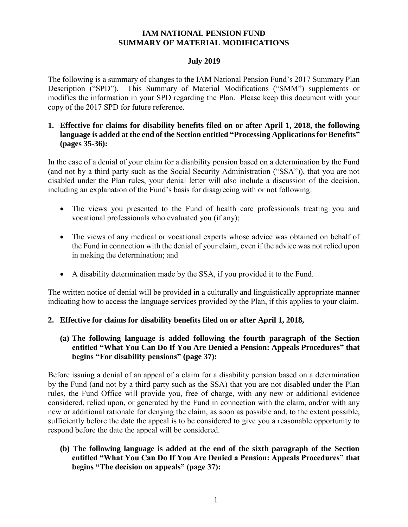## **IAM NATIONAL PENSION FUND SUMMARY OF MATERIAL MODIFICATIONS**

### **July 2019**

The following is a summary of changes to the IAM National Pension Fund's 2017 Summary Plan Description ("SPD"). This Summary of Material Modifications ("SMM") supplements or modifies the information in your SPD regarding the Plan. Please keep this document with your copy of the 2017 SPD for future reference.

## **1. Effective for claims for disability benefits filed on or after April 1, 2018, the following language is added at the end of the Section entitled "Processing Applications for Benefits" (pages 35-36):**

In the case of a denial of your claim for a disability pension based on a determination by the Fund (and not by a third party such as the Social Security Administration ("SSA")), that you are not disabled under the Plan rules, your denial letter will also include a discussion of the decision, including an explanation of the Fund's basis for disagreeing with or not following:

- The views you presented to the Fund of health care professionals treating you and vocational professionals who evaluated you (if any);
- The views of any medical or vocational experts whose advice was obtained on behalf of the Fund in connection with the denial of your claim, even if the advice was not relied upon in making the determination; and
- A disability determination made by the SSA, if you provided it to the Fund.

The written notice of denial will be provided in a culturally and linguistically appropriate manner indicating how to access the language services provided by the Plan, if this applies to your claim.

# **2. Effective for claims for disability benefits filed on or after April 1, 2018,**

## **(a) The following language is added following the fourth paragraph of the Section entitled "What You Can Do If You Are Denied a Pension: Appeals Procedures" that begins "For disability pensions" (page 37):**

Before issuing a denial of an appeal of a claim for a disability pension based on a determination by the Fund (and not by a third party such as the SSA) that you are not disabled under the Plan rules, the Fund Office will provide you, free of charge, with any new or additional evidence considered, relied upon, or generated by the Fund in connection with the claim, and/or with any new or additional rationale for denying the claim, as soon as possible and, to the extent possible, sufficiently before the date the appeal is to be considered to give you a reasonable opportunity to respond before the date the appeal will be considered.

## **(b) The following language is added at the end of the sixth paragraph of the Section entitled "What You Can Do If You Are Denied a Pension: Appeals Procedures" that begins "The decision on appeals" (page 37):**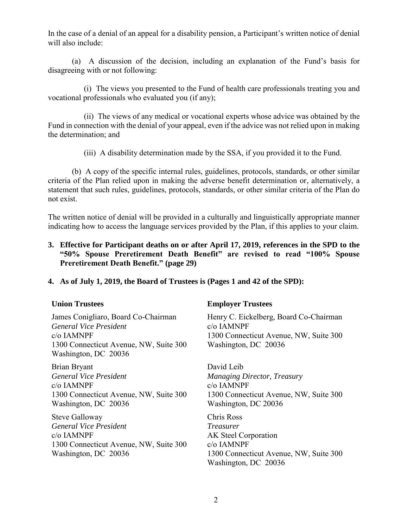In the case of a denial of an appeal for a disability pension, a Participant's written notice of denial will also include:

(a) A discussion of the decision, including an explanation of the Fund's basis for disagreeing with or not following:

(i) The views you presented to the Fund of health care professionals treating you and vocational professionals who evaluated you (if any);

(ii) The views of any medical or vocational experts whose advice was obtained by the Fund in connection with the denial of your appeal, even if the advice was not relied upon in making the determination; and

(iii) A disability determination made by the SSA, if you provided it to the Fund.

(b) A copy of the specific internal rules, guidelines, protocols, standards, or other similar criteria of the Plan relied upon in making the adverse benefit determination or, alternatively, a statement that such rules, guidelines, protocols, standards, or other similar criteria of the Plan do not exist.

The written notice of denial will be provided in a culturally and linguistically appropriate manner indicating how to access the language services provided by the Plan, if this applies to your claim.

**3. Effective for Participant deaths on or after April 17, 2019, references in the SPD to the "50% Spouse Preretirement Death Benefit" are revised to read "100% Spouse Preretirement Death Benefit." (page 29)**

### **4. As of July 1, 2019, the Board of Trustees is (Pages 1 and 42 of the SPD):**

James Conigliaro, Board Co-Chairman *General Vice President* c/o IAMNPF 1300 Connecticut Avenue, NW, Suite 300 Washington, DC 20036

Brian Bryant *General Vice President* c/o IAMNPF 1300 Connecticut Avenue, NW, Suite 300 Washington, DC 20036

Steve Galloway *General Vice President* c/o IAMNPF 1300 Connecticut Avenue, NW, Suite 300 Washington, DC 20036

# **Union Trustees Employer Trustees**

Henry C. Eickelberg, Board Co-Chairman c/o IAMNPF 1300 Connecticut Avenue, NW, Suite 300 Washington, DC 20036

David Leib *Managing Director, Treasury* c/o IAMNPF 1300 Connecticut Avenue, NW, Suite 300 Washington, DC 20036

Chris Ross *Treasurer* AK Steel Corporation c/o IAMNPF 1300 Connecticut Avenue, NW, Suite 300 Washington, DC 20036